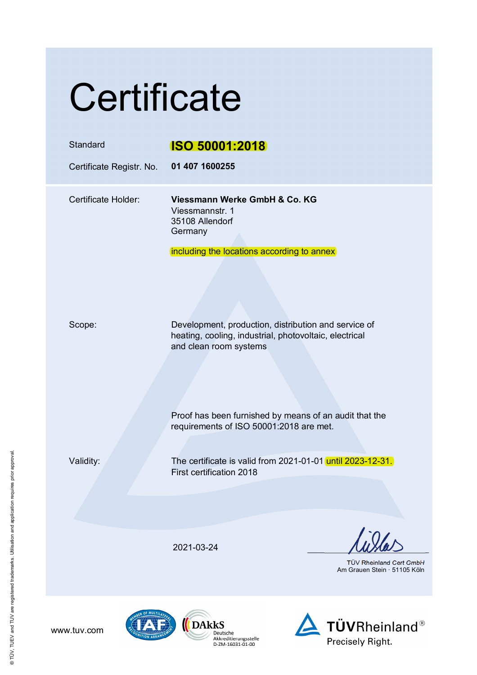# **Certificate**

| Standard<br>Certificate Registr. No. | <b>ISO 50001:2018</b><br>01 407 1600255                                                                                                  |
|--------------------------------------|------------------------------------------------------------------------------------------------------------------------------------------|
| Certificate Holder:                  | Viessmann Werke GmbH & Co. KG<br>Viessmannstr. 1<br>35108 Allendorf<br>Germany                                                           |
|                                      | including the locations according to annex                                                                                               |
| Scope:                               | Development, production, distribution and service of<br>heating, cooling, industrial, photovoltaic, electrical<br>and clean room systems |
|                                      | Proof has been furnished by means of an audit that the<br>requirements of ISO 50001:2018 are met.                                        |
| Validity:                            | The certificate is valid from 2021-01-01 until 2023-12-31.<br>First certification 2018                                                   |
|                                      |                                                                                                                                          |
|                                      | 2021-03-24<br><b>TÜV Rheinland Cert GmbH</b><br>Am Grauen Stein · 51105 Köln                                                             |
|                                      |                                                                                                                                          |





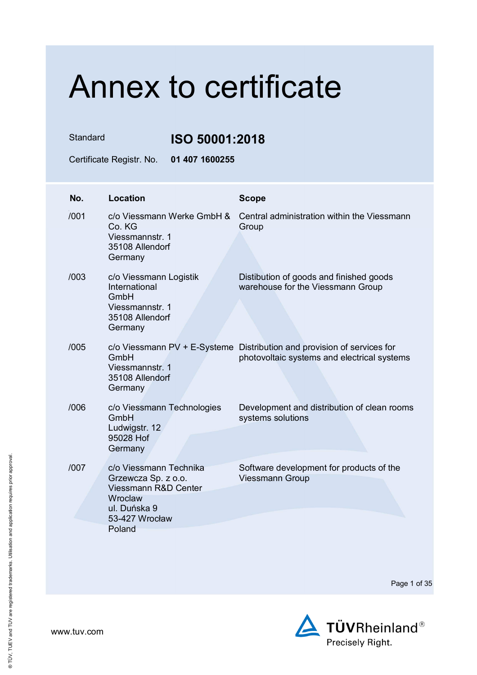Standard **ISO 50001:2018**

Certificate Registr. No. **01 407 1600255** 

| No.  | <b>Location</b>                                                                                                              | <b>Scope</b>                                                                                                           |
|------|------------------------------------------------------------------------------------------------------------------------------|------------------------------------------------------------------------------------------------------------------------|
| /001 | c/o Viessmann Werke GmbH &<br>Co. KG<br>Viessmannstr. 1<br>35108 Allendorf<br>Germany                                        | Central administration within the Viessmann<br>Group                                                                   |
| /003 | c/o Viessmann Logistik<br>International<br>GmbH<br>Viessmannstr. 1<br>35108 Allendorf<br>Germany                             | Distibution of goods and finished goods<br>warehouse for the Viessmann Group                                           |
| /005 | GmbH<br>Viessmannstr. 1<br>35108 Allendorf<br>Germany                                                                        | c/o Viessmann PV + E-Systeme Distribution and provision of services for<br>photovoltaic systems and electrical systems |
| /006 | c/o Viessmann Technologies<br>GmbH<br>Ludwigstr. 12<br>95028 Hof<br>Germany                                                  | Development and distribution of clean rooms<br>systems solutions                                                       |
| /007 | c/o Viessmann Technika<br>Grzewcza Sp. z o.o.<br>Viessmann R&D Center<br>Wroclaw<br>ul. Duńska 9<br>53-427 Wrocław<br>Poland | Software development for products of the<br><b>Viessmann Group</b>                                                     |

Page 1 of 35

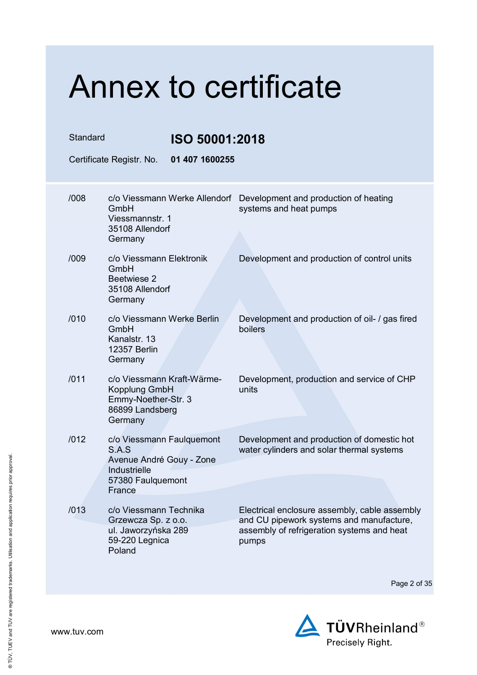| Standard |                                                                                                            | ISO 50001:2018                |                                                                                                                                                  |
|----------|------------------------------------------------------------------------------------------------------------|-------------------------------|--------------------------------------------------------------------------------------------------------------------------------------------------|
|          | Certificate Registr. No.                                                                                   | 01 407 1600255                |                                                                                                                                                  |
| /008     | GmbH<br>Viessmannstr. 1<br>35108 Allendorf                                                                 | c/o Viessmann Werke Allendorf | Development and production of heating<br>systems and heat pumps                                                                                  |
|          | Germany                                                                                                    |                               |                                                                                                                                                  |
| /009     | c/o Viessmann Elektronik<br>GmbH<br>Beetwiese 2<br>35108 Allendorf<br>Germany                              |                               | Development and production of control units                                                                                                      |
| /010     | c/o Viessmann Werke Berlin<br>GmbH<br>Kanalstr. 13<br>12357 Berlin<br>Germany                              |                               | Development and production of oil- / gas fired<br>boilers                                                                                        |
| /011     | c/o Viessmann Kraft-Wärme-<br>Kopplung GmbH<br>Emmy-Noether-Str. 3<br>86899 Landsberg<br>Germany           |                               | Development, production and service of CHP<br>units                                                                                              |
| /012     | c/o Viessmann Faulquemont<br>S.A.S<br>Avenue André Gouy - Zone<br><b>Industrielle</b><br>57380 Faulquemont |                               | Development and production of domestic hot<br>water cylinders and solar thermal systems                                                          |
|          | France                                                                                                     |                               |                                                                                                                                                  |
| /013     | c/o Viessmann Technika<br>Grzewcza Sp. z o.o.<br>ul. Jaworzyńska 289<br>59-220 Legnica<br>Poland           |                               | Electrical enclosure assembly, cable assembly<br>and CU pipework systems and manufacture,<br>assembly of refrigeration systems and heat<br>pumps |

Page 2 of 35

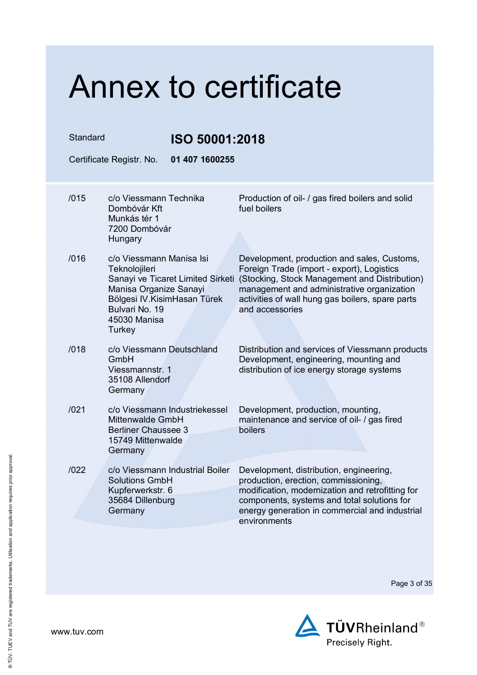| Standard |                                                                                                                 | ISO 50001:2018                                                    |                                                                                                                                                                                                                                                                 |
|----------|-----------------------------------------------------------------------------------------------------------------|-------------------------------------------------------------------|-----------------------------------------------------------------------------------------------------------------------------------------------------------------------------------------------------------------------------------------------------------------|
|          | Certificate Registr. No.                                                                                        | 01 407 1600255                                                    |                                                                                                                                                                                                                                                                 |
| /015     | c/o Viessmann Technika<br>Dombóvár Kft<br>Munkás tér 1<br>7200 Dombóvár<br>Hungary                              |                                                                   | Production of oil- / gas fired boilers and solid<br>fuel boilers                                                                                                                                                                                                |
| /016     | c/o Viessmann Manisa Isi<br>Teknolojileri<br>Manisa Organize Sanayi<br>Bulvari No. 19<br>45030 Manisa<br>Turkey | Sanayi ve Ticaret Limited Sirketi<br>Bölgesi IV. KisimHasan Türek | Development, production and sales, Customs,<br>Foreign Trade (import - export), Logistics<br>(Stocking, Stock Management and Distribution)<br>management and administrative organization<br>activities of wall hung gas boilers, spare parts<br>and accessories |
| /018     | c/o Viessmann Deutschland<br>GmbH<br>Viessmannstr. 1<br>35108 Allendorf<br>Germany                              |                                                                   | Distribution and services of Viessmann products<br>Development, engineering, mounting and<br>distribution of ice energy storage systems                                                                                                                         |
| /021     | <b>Mittenwalde GmbH</b><br><b>Berliner Chaussee 3</b><br>15749 Mittenwalde<br>Germany                           | c/o Viessmann Industriekessel                                     | Development, production, mounting,<br>maintenance and service of oil- / gas fired<br>boilers                                                                                                                                                                    |
| /022     | <b>Solutions GmbH</b><br>Kupferwerkstr. 6<br>35684 Dillenburg<br>Germany                                        | c/o Viessmann Industrial Boiler                                   | Development, distribution, engineering,<br>production, erection, commissioning,<br>modification, modernization and retrofitting for<br>components, systems and total solutions for<br>energy generation in commercial and industrial<br>environments            |

Page 3 of 35

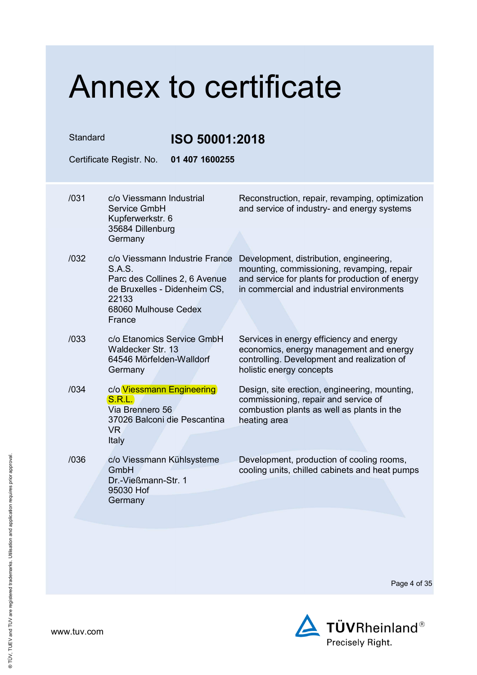| Standard<br>ISO 50001:2018 |                                                                                                                                                                        |                |                                                                                                                                                                                       |
|----------------------------|------------------------------------------------------------------------------------------------------------------------------------------------------------------------|----------------|---------------------------------------------------------------------------------------------------------------------------------------------------------------------------------------|
|                            | Certificate Registr. No.                                                                                                                                               | 01 407 1600255 |                                                                                                                                                                                       |
| /031                       | c/o Viessmann Industrial<br>Service GmbH<br>Kupferwerkstr. 6<br>35684 Dillenburg                                                                                       |                | Reconstruction, repair, revamping, optimization<br>and service of industry- and energy systems                                                                                        |
| /032                       | Germany<br>c/o Viessmann Industrie France<br><b>S.A.S.</b><br>Parc des Collines 2, 6 Avenue<br>de Bruxelles - Didenheim CS,<br>22133<br>68060 Mulhouse Cedex<br>France |                | Development, distribution, engineering,<br>mounting, commissioning, revamping, repair<br>and service for plants for production of energy<br>in commercial and industrial environments |
| /033                       | c/o Etanomics Service GmbH<br>Waldecker Str. 13<br>64546 Mörfelden-Walldorf<br>Germany                                                                                 |                | Services in energy efficiency and energy<br>economics, energy management and energy<br>controlling. Development and realization of<br>holistic energy concepts                        |
| /034                       | c/o Viessmann Engineering<br>S.R.L.<br>Via Brennero 56<br>37026 Balconi die Pescantina<br>VR<br>Italy                                                                  |                | Design, site erection, engineering, mounting,<br>commissioning, repair and service of<br>combustion plants as well as plants in the<br>heating area                                   |
| /036                       | c/o Viessmann Kühlsysteme<br>GmbH<br>Dr.-Vießmann-Str. 1<br>95030 Hof<br>Germany                                                                                       |                | Development, production of cooling rooms,<br>cooling units, chilled cabinets and heat pumps                                                                                           |
|                            |                                                                                                                                                                        |                |                                                                                                                                                                                       |

Page 4 of 35

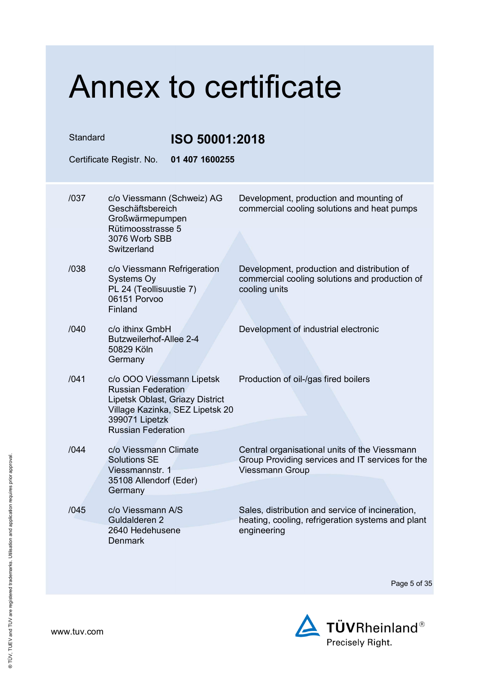| Standard<br>Certificate Registr. No. |                                                                                                                                          | ISO 50001:2018<br>01 407 1600255 |                                                                                                                             |
|--------------------------------------|------------------------------------------------------------------------------------------------------------------------------------------|----------------------------------|-----------------------------------------------------------------------------------------------------------------------------|
| /037                                 | c/o Viessmann (Schweiz) AG<br>Geschäftsbereich<br>Großwärmepumpen                                                                        |                                  | Development, production and mounting of<br>commercial cooling solutions and heat pumps                                      |
|                                      | Rütimoosstrasse 5<br>3076 Worb SBB<br>Switzerland                                                                                        |                                  |                                                                                                                             |
| /038                                 | c/o Viessmann Refrigeration<br>Systems Oy<br>PL 24 (Teollisuustie 7)<br>06151 Porvoo<br>Finland                                          |                                  | Development, production and distribution of<br>commercial cooling solutions and production of<br>cooling units              |
| /040                                 | c/o ithinx GmbH<br><b>Butzweilerhof-Allee 2-4</b><br>50829 Köln<br>Germany                                                               |                                  | Development of industrial electronic                                                                                        |
| /041                                 | c/o OOO Viessmann Lipetsk<br><b>Russian Federation</b><br>Lipetsk Oblast, Griazy District<br>399071 Lipetzk<br><b>Russian Federation</b> | Village Kazinka, SEZ Lipetsk 20  | Production of oil-/gas fired boilers                                                                                        |
| /044                                 | c/o Viessmann Climate<br><b>Solutions SE</b><br>Viessmannstr. 1<br>35108 Allendorf (Eder)<br>Germany                                     |                                  | Central organisational units of the Viessmann<br>Group Providing services and IT services for the<br><b>Viessmann Group</b> |
| /045                                 | c/o Viessmann A/S<br>Guldalderen 2<br>2640 Hedehusene<br><b>Denmark</b>                                                                  |                                  | Sales, distribution and service of incineration,<br>heating, cooling, refrigeration systems and plant<br>engineering        |

Page 5 of 35

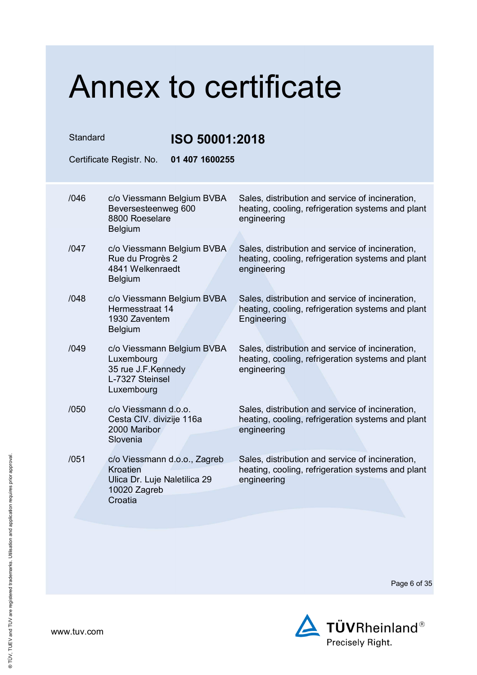| Standard |                                                                                                     | ISO 50001:2018                                                                                                       |  |
|----------|-----------------------------------------------------------------------------------------------------|----------------------------------------------------------------------------------------------------------------------|--|
|          | 01 407 1600255<br>Certificate Registr. No.                                                          |                                                                                                                      |  |
| /046     | c/o Viessmann Belgium BVBA<br>Beversesteenweg 600<br>8800 Roeselare<br><b>Belgium</b>               | Sales, distribution and service of incineration,<br>heating, cooling, refrigeration systems and plant<br>engineering |  |
| /047     | c/o Viessmann Belgium BVBA<br>Rue du Progrès 2<br>4841 Welkenraedt<br><b>Belgium</b>                | Sales, distribution and service of incineration,<br>heating, cooling, refrigeration systems and plant<br>engineering |  |
| /048     | c/o Viessmann Belgium BVBA<br>Hermesstraat 14<br>1930 Zaventem<br>Belgium                           | Sales, distribution and service of incineration,<br>heating, cooling, refrigeration systems and plant<br>Engineering |  |
| /049     | c/o Viessmann Belgium BVBA<br>Luxembourg<br>35 rue J.F.Kennedy<br>L-7327 Steinsel<br>Luxembourg     | Sales, distribution and service of incineration,<br>heating, cooling, refrigeration systems and plant<br>engineering |  |
| /050     | c/o Viessmann d.o.o.<br>Cesta CIV. divizije 116a<br>2000 Maribor<br>Slovenia                        | Sales, distribution and service of incineration,<br>heating, cooling, refrigeration systems and plant<br>engineering |  |
| /051     | c/o Viessmann d.o.o., Zagreb<br>Kroatien<br>Ulica Dr. Luje Naletilica 29<br>10020 Zagreb<br>Croatia | Sales, distribution and service of incineration,<br>heating, cooling, refrigeration systems and plant<br>engineering |  |

Page 6 of 35

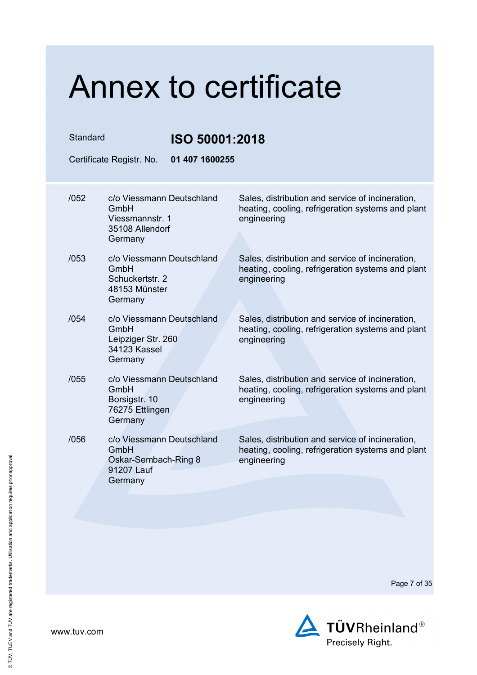| Standard |                                                                                    | ISO 50001:2018 |                                                                                                                      |  |
|----------|------------------------------------------------------------------------------------|----------------|----------------------------------------------------------------------------------------------------------------------|--|
|          | Certificate Registr. No.                                                           | 01 407 1600255 |                                                                                                                      |  |
| /052     | c/o Viessmann Deutschland<br>GmbH<br>Viessmannstr. 1<br>35108 Allendorf<br>Germany |                | Sales, distribution and service of incineration,<br>heating, cooling, refrigeration systems and plant<br>engineering |  |
| /053     | c/o Viessmann Deutschland<br>GmbH<br>Schuckertstr. 2<br>48153 Münster<br>Germany   |                | Sales, distribution and service of incineration,<br>heating, cooling, refrigeration systems and plant<br>engineering |  |
| /054     | c/o Viessmann Deutschland<br>GmbH<br>Leipziger Str. 260<br>34123 Kassel<br>Germany |                | Sales, distribution and service of incineration,<br>heating, cooling, refrigeration systems and plant<br>engineering |  |
| /055     | c/o Viessmann Deutschland<br>GmbH<br>Borsigstr. 10<br>76275 Ettlingen<br>Germany   |                | Sales, distribution and service of incineration,<br>heating, cooling, refrigeration systems and plant<br>engineering |  |
| /056     | c/o Viessmann Deutschland<br>GmbH<br>Oskar-Sembach-Ring 8<br>91207 Lauf<br>Germany |                | Sales, distribution and service of incineration,<br>heating, cooling, refrigeration systems and plant<br>engineering |  |
|          |                                                                                    |                |                                                                                                                      |  |

Page 7 of 35

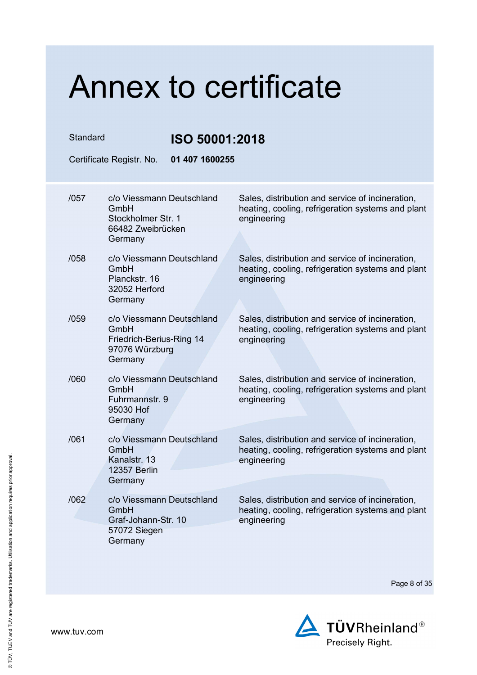| Standard |                                                                                            | ISO 50001:2018 |                                                                                                                      |
|----------|--------------------------------------------------------------------------------------------|----------------|----------------------------------------------------------------------------------------------------------------------|
|          | Certificate Registr. No.                                                                   | 01 407 1600255 |                                                                                                                      |
| /057     | c/o Viessmann Deutschland<br>GmbH<br>Stockholmer Str. 1<br>66482 Zweibrücken               |                | Sales, distribution and service of incineration,<br>heating, cooling, refrigeration systems and plant<br>engineering |
|          | Germany                                                                                    |                |                                                                                                                      |
| /058     | c/o Viessmann Deutschland<br>GmbH<br>Planckstr, 16<br>32052 Herford<br>Germany             |                | Sales, distribution and service of incineration,<br>heating, cooling, refrigeration systems and plant<br>engineering |
| /059     | c/o Viessmann Deutschland<br>GmbH<br>Friedrich-Berius-Ring 14<br>97076 Würzburg<br>Germany |                | Sales, distribution and service of incineration,<br>heating, cooling, refrigeration systems and plant<br>engineering |
| /060     | c/o Viessmann Deutschland<br>GmbH<br>Fuhrmannstr. 9<br>95030 Hof<br>Germany                |                | Sales, distribution and service of incineration,<br>heating, cooling, refrigeration systems and plant<br>engineering |
| /061     | c/o Viessmann Deutschland<br>GmbH<br>Kanalstr, 13<br>12357 Berlin<br>Germany               |                | Sales, distribution and service of incineration,<br>heating, cooling, refrigeration systems and plant<br>engineering |
| /062     | c/o Viessmann Deutschland<br>GmbH<br>Graf-Johann-Str. 10<br>57072 Siegen<br>Germany        |                | Sales, distribution and service of incineration,<br>heating, cooling, refrigeration systems and plant<br>engineering |

Page 8 of 35

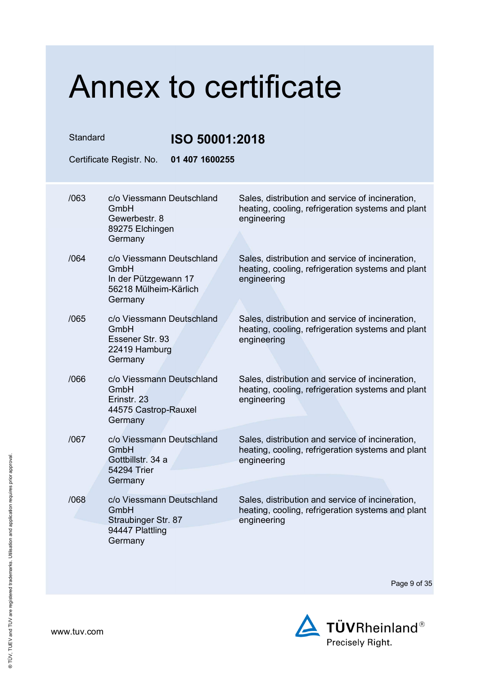| Standard<br>ISO 50001:2018 |                                                                                               |                                                                                                                      |
|----------------------------|-----------------------------------------------------------------------------------------------|----------------------------------------------------------------------------------------------------------------------|
|                            | 01 407 1600255<br>Certificate Registr. No.                                                    |                                                                                                                      |
| /063                       | c/o Viessmann Deutschland<br>GmbH<br>Gewerbestr. 8                                            | Sales, distribution and service of incineration,<br>heating, cooling, refrigeration systems and plant<br>engineering |
|                            | 89275 Elchingen<br>Germany                                                                    |                                                                                                                      |
| /064                       | c/o Viessmann Deutschland<br>GmbH<br>In der Pützgewann 17<br>56218 Mülheim-Kärlich<br>Germany | Sales, distribution and service of incineration,<br>heating, cooling, refrigeration systems and plant<br>engineering |
| /065                       | c/o Viessmann Deutschland<br>GmbH<br>Essener Str. 93<br>22419 Hamburg<br>Germany              | Sales, distribution and service of incineration,<br>heating, cooling, refrigeration systems and plant<br>engineering |
| /066                       | c/o Viessmann Deutschland<br>GmbH<br>Erinstr. 23<br>44575 Castrop-Rauxel<br>Germany           | Sales, distribution and service of incineration,<br>heating, cooling, refrigeration systems and plant<br>engineering |
| /067                       | c/o Viessmann Deutschland<br>GmbH<br>Gottbillstr. 34 a<br>54294 Trier<br>Germany              | Sales, distribution and service of incineration,<br>heating, cooling, refrigeration systems and plant<br>engineering |
| /068                       | c/o Viessmann Deutschland<br>GmbH<br>Straubinger Str. 87<br>94447 Plattling<br>Germany        | Sales, distribution and service of incineration,<br>heating, cooling, refrigeration systems and plant<br>engineering |

Page 9 of 35

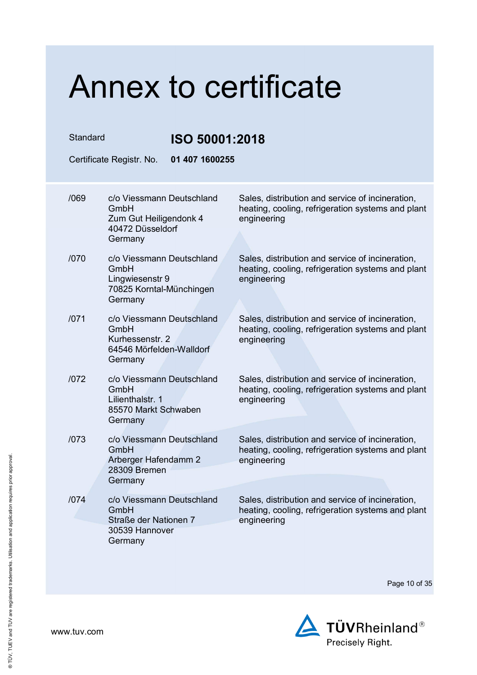| Standard |                                                                                             | ISO 50001:2018                                                                                                       |  |
|----------|---------------------------------------------------------------------------------------------|----------------------------------------------------------------------------------------------------------------------|--|
|          | 01 407 1600255<br>Certificate Registr. No.                                                  |                                                                                                                      |  |
| /069     | c/o Viessmann Deutschland<br>GmbH<br>Zum Gut Heiligendonk 4<br>40472 Düsseldorf             | Sales, distribution and service of incineration,<br>heating, cooling, refrigeration systems and plant<br>engineering |  |
|          | Germany                                                                                     |                                                                                                                      |  |
| /070     | c/o Viessmann Deutschland<br>GmbH<br>Lingwiesenstr 9<br>70825 Korntal-Münchingen<br>Germany | Sales, distribution and service of incineration,<br>heating, cooling, refrigeration systems and plant<br>engineering |  |
| 1071     | c/o Viessmann Deutschland<br>GmbH<br>Kurhessenstr, 2<br>64546 Mörfelden-Walldorf<br>Germany | Sales, distribution and service of incineration,<br>heating, cooling, refrigeration systems and plant<br>engineering |  |
| /072     | c/o Viessmann Deutschland<br>GmbH<br>Lilienthalstr. 1<br>85570 Markt Schwaben<br>Germany    | Sales, distribution and service of incineration,<br>heating, cooling, refrigeration systems and plant<br>engineering |  |
| /073     | c/o Viessmann Deutschland<br>GmbH<br>Arberger Hafendamm 2<br>28309 Bremen<br>Germany        | Sales, distribution and service of incineration,<br>heating, cooling, refrigeration systems and plant<br>engineering |  |
| 1074     | c/o Viessmann Deutschland<br>GmbH<br>Straße der Nationen 7<br>30539 Hannover<br>Germany     | Sales, distribution and service of incineration,<br>heating, cooling, refrigeration systems and plant<br>engineering |  |

Page 10 of 35

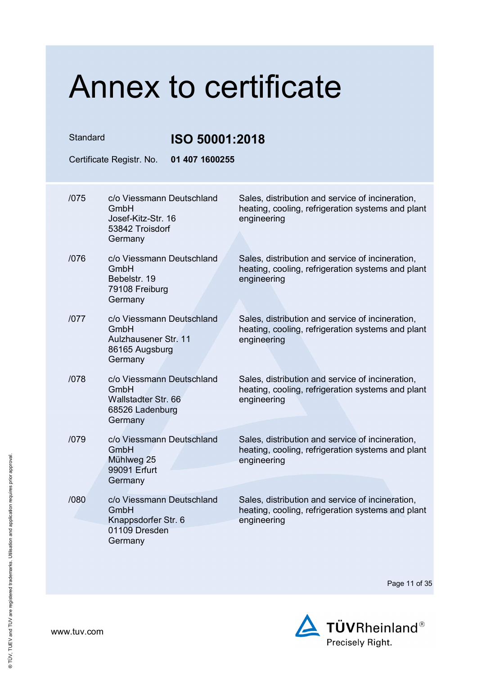| Standard |                                                                                        |                | ISO 50001:2018                                                                                                       |  |
|----------|----------------------------------------------------------------------------------------|----------------|----------------------------------------------------------------------------------------------------------------------|--|
|          | Certificate Registr. No.                                                               | 01 407 1600255 |                                                                                                                      |  |
| /075     | c/o Viessmann Deutschland<br>GmbH<br>Josef-Kitz-Str. 16<br>53842 Troisdorf             |                | Sales, distribution and service of incineration,<br>heating, cooling, refrigeration systems and plant<br>engineering |  |
|          | Germany                                                                                |                |                                                                                                                      |  |
| /076     | c/o Viessmann Deutschland<br>GmbH<br>Bebelstr. 19<br>79108 Freiburg<br>Germany         |                | Sales, distribution and service of incineration,<br>heating, cooling, refrigeration systems and plant<br>engineering |  |
| 1077     | c/o Viessmann Deutschland<br>GmbH<br>Aulzhausener Str. 11<br>86165 Augsburg<br>Germany |                | Sales, distribution and service of incineration,<br>heating, cooling, refrigeration systems and plant<br>engineering |  |
| /078     | c/o Viessmann Deutschland<br>GmbH<br>Wallstadter Str. 66<br>68526 Ladenburg<br>Germany |                | Sales, distribution and service of incineration,<br>heating, cooling, refrigeration systems and plant<br>engineering |  |
| /079     | c/o Viessmann Deutschland<br>GmbH<br>Mühlweg 25<br>99091 Erfurt<br>Germany             |                | Sales, distribution and service of incineration,<br>heating, cooling, refrigeration systems and plant<br>engineering |  |
| /080     | c/o Viessmann Deutschland<br>GmbH<br>Knappsdorfer Str. 6<br>01109 Dresden<br>Germany   |                | Sales, distribution and service of incineration,<br>heating, cooling, refrigeration systems and plant<br>engineering |  |

Page 11 of 35

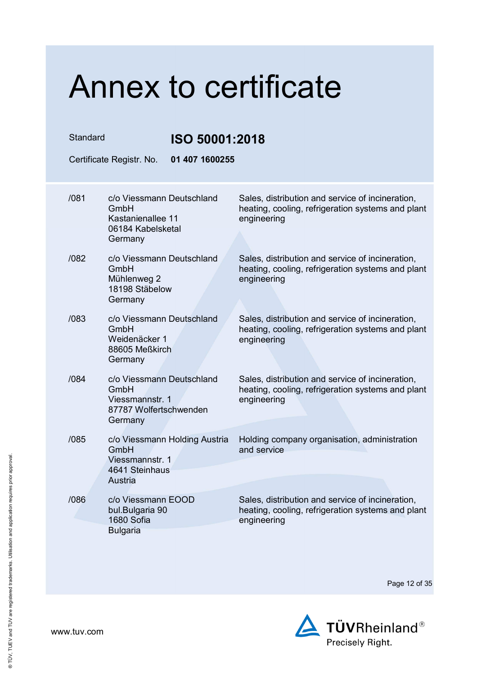| Standard | Certificate Registr. No.                                                                  |                               | ISO 50001:2018<br>01 407 1600255                                                                                     |  |
|----------|-------------------------------------------------------------------------------------------|-------------------------------|----------------------------------------------------------------------------------------------------------------------|--|
|          |                                                                                           |                               |                                                                                                                      |  |
| /081     | c/o Viessmann Deutschland<br>GmbH<br>Kastanienallee 11<br>06184 Kabelsketal<br>Germany    |                               | Sales, distribution and service of incineration,<br>heating, cooling, refrigeration systems and plant<br>engineering |  |
| /082     | c/o Viessmann Deutschland<br>GmbH<br>Mühlenweg 2<br>18198 Stäbelow<br>Germany             |                               | Sales, distribution and service of incineration,<br>heating, cooling, refrigeration systems and plant<br>engineering |  |
| /083     | c/o Viessmann Deutschland<br>GmbH<br>Weidenäcker 1<br>88605 Meßkirch<br>Germany           |                               | Sales, distribution and service of incineration,<br>heating, cooling, refrigeration systems and plant<br>engineering |  |
| /084     | c/o Viessmann Deutschland<br>GmbH<br>Viessmannstr. 1<br>87787 Wolfertschwenden<br>Germany |                               | Sales, distribution and service of incineration,<br>heating, cooling, refrigeration systems and plant<br>engineering |  |
| /085     | GmbH<br>Viessmannstr. 1<br>4641 Steinhaus<br>Austria                                      | c/o Viessmann Holding Austria | Holding company organisation, administration<br>and service                                                          |  |
| /086     | c/o Viessmann EOOD<br>bul.Bulgaria 90<br>1680 Sofia<br><b>Bulgaria</b>                    |                               | Sales, distribution and service of incineration,<br>heating, cooling, refrigeration systems and plant<br>engineering |  |

Page 12 of 35

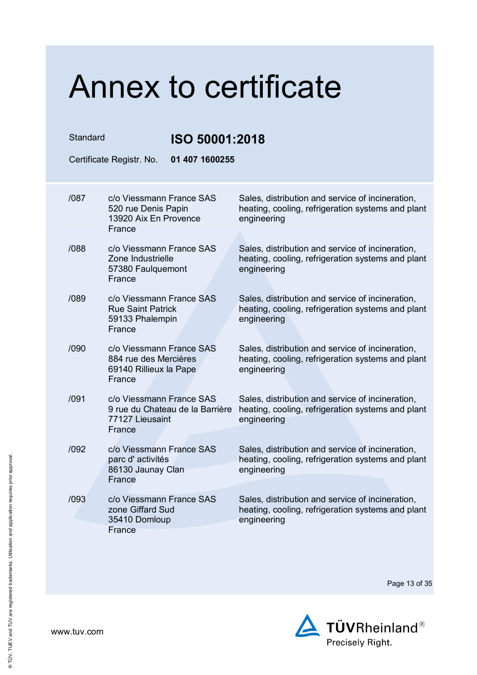| Standard |                                                                                       | ISO 50001:2018                  |                                                                                                                      |  |
|----------|---------------------------------------------------------------------------------------|---------------------------------|----------------------------------------------------------------------------------------------------------------------|--|
|          | Certificate Registr. No.                                                              | 01 407 1600255                  |                                                                                                                      |  |
| /087     | c/o Viessmann France SAS<br>520 rue Denis Papin<br>13920 Aix En Provence<br>France    |                                 | Sales, distribution and service of incineration,<br>heating, cooling, refrigeration systems and plant<br>engineering |  |
| /088     | c/o Viessmann France SAS<br>Zone Industrielle<br>57380 Faulquemont<br>France          |                                 | Sales, distribution and service of incineration,<br>heating, cooling, refrigeration systems and plant<br>engineering |  |
| /089     | c/o Viessmann France SAS<br><b>Rue Saint Patrick</b><br>59133 Phalempin<br>France     |                                 | Sales, distribution and service of incineration,<br>heating, cooling, refrigeration systems and plant<br>engineering |  |
| /090     | c/o Viessmann France SAS<br>884 rue des Mercières<br>69140 Rillieux la Pape<br>France |                                 | Sales, distribution and service of incineration,<br>heating, cooling, refrigeration systems and plant<br>engineering |  |
| /091     | c/o Viessmann France SAS<br>77127 Lieusaint<br>France                                 | 9 rue du Chateau de la Barrière | Sales, distribution and service of incineration,<br>heating, cooling, refrigeration systems and plant<br>engineering |  |
| /092     | c/o Viessmann France SAS<br>parc d'activités<br>86130 Jaunay Clan<br>France           |                                 | Sales, distribution and service of incineration,<br>heating, cooling, refrigeration systems and plant<br>engineering |  |
| /093     | c/o Viessmann France SAS<br>zone Giffard Sud<br>35410 Domloup<br>France               |                                 | Sales, distribution and service of incineration,<br>heating, cooling, refrigeration systems and plant<br>engineering |  |

Page 13 of 35

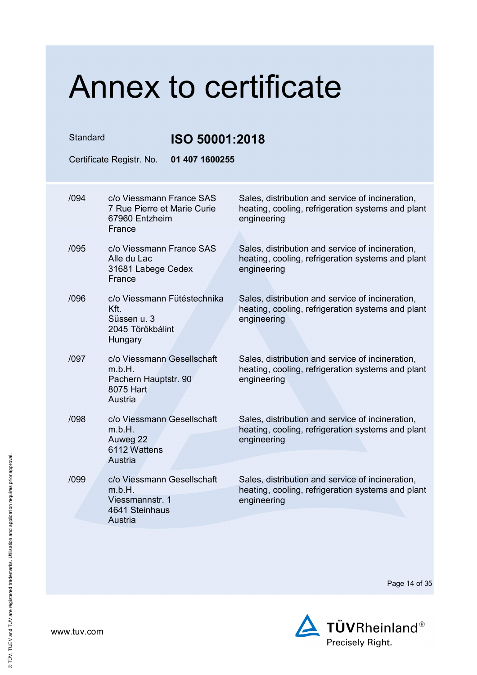| Standard |                                                                                          | ISO 50001:2018                                                                                                       |  |  |
|----------|------------------------------------------------------------------------------------------|----------------------------------------------------------------------------------------------------------------------|--|--|
|          | 01 407 1600255<br>Certificate Registr. No.                                               |                                                                                                                      |  |  |
| /094     | c/o Viessmann France SAS<br>7 Rue Pierre et Marie Curie<br>67960 Entzheim<br>France      | Sales, distribution and service of incineration,<br>heating, cooling, refrigeration systems and plant<br>engineering |  |  |
| /095     | c/o Viessmann France SAS<br>Alle du Lac<br>31681 Labege Cedex<br>France                  | Sales, distribution and service of incineration,<br>heating, cooling, refrigeration systems and plant<br>engineering |  |  |
| /096     | c/o Viessmann Fütéstechnika<br>Kft.<br>Süssen u. 3<br>2045 Törökbálint<br><b>Hungary</b> | Sales, distribution and service of incineration,<br>heating, cooling, refrigeration systems and plant<br>engineering |  |  |
| /097     | c/o Viessmann Gesellschaft<br>m.b.H.<br>Pachern Hauptstr. 90<br>8075 Hart<br>Austria     | Sales, distribution and service of incineration,<br>heating, cooling, refrigeration systems and plant<br>engineering |  |  |
| /098     | c/o Viessmann Gesellschaft<br>m.b.H.<br>Auweg 22<br>6112 Wattens<br>Austria              | Sales, distribution and service of incineration,<br>heating, cooling, refrigeration systems and plant<br>engineering |  |  |
| /099     | c/o Viessmann Gesellschaft<br>m.b.H.<br>Viessmannstr. 1<br>4641 Steinhaus<br>Austria     | Sales, distribution and service of incineration,<br>heating, cooling, refrigeration systems and plant<br>engineering |  |  |

Page 14 of 35

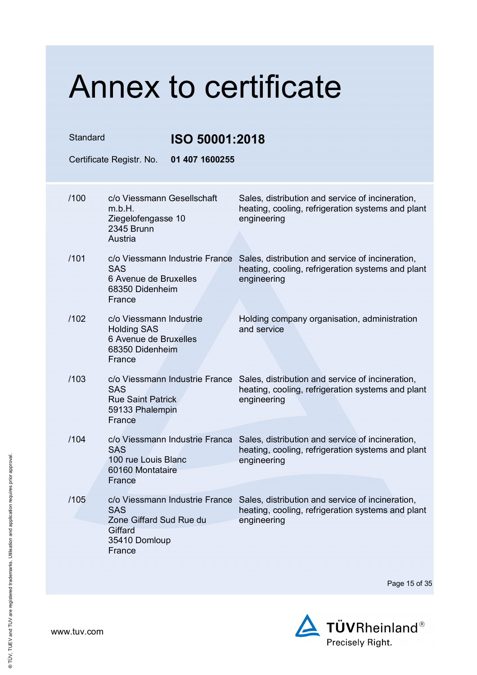| Standard |                                                                                                       | ISO 50001:2018                 |                                                                                                                      |
|----------|-------------------------------------------------------------------------------------------------------|--------------------------------|----------------------------------------------------------------------------------------------------------------------|
|          | Certificate Registr. No.                                                                              | 01 407 1600255                 |                                                                                                                      |
| /100     | c/o Viessmann Gesellschaft<br>m.b.H.<br>Ziegelofengasse 10                                            |                                | Sales, distribution and service of incineration,<br>heating, cooling, refrigeration systems and plant<br>engineering |
|          | 2345 Brunn<br>Austria                                                                                 |                                |                                                                                                                      |
| /101     | <b>SAS</b><br>6 Avenue de Bruxelles<br>68350 Didenheim<br>France                                      | c/o Viessmann Industrie France | Sales, distribution and service of incineration,<br>heating, cooling, refrigeration systems and plant<br>engineering |
| /102     | c/o Viessmann Industrie<br><b>Holding SAS</b><br>6 Avenue de Bruxelles<br>68350 Didenheim<br>France   |                                | Holding company organisation, administration<br>and service                                                          |
| /103     | c/o Viessmann Industrie France<br><b>SAS</b><br><b>Rue Saint Patrick</b><br>59133 Phalempin<br>France |                                | Sales, distribution and service of incineration,<br>heating, cooling, refrigeration systems and plant<br>engineering |
| /104     | <b>SAS</b><br>100 rue Louis Blanc<br>60160 Montataire<br>France                                       | c/o Viessmann Industrie Franca | Sales, distribution and service of incineration,<br>heating, cooling, refrigeration systems and plant<br>engineering |
| /105     | <b>SAS</b><br>Zone Giffard Sud Rue du<br>Giffard<br>35410 Domloup<br>France                           | c/o Viessmann Industrie France | Sales, distribution and service of incineration,<br>heating, cooling, refrigeration systems and plant<br>engineering |

Page 15 of 35

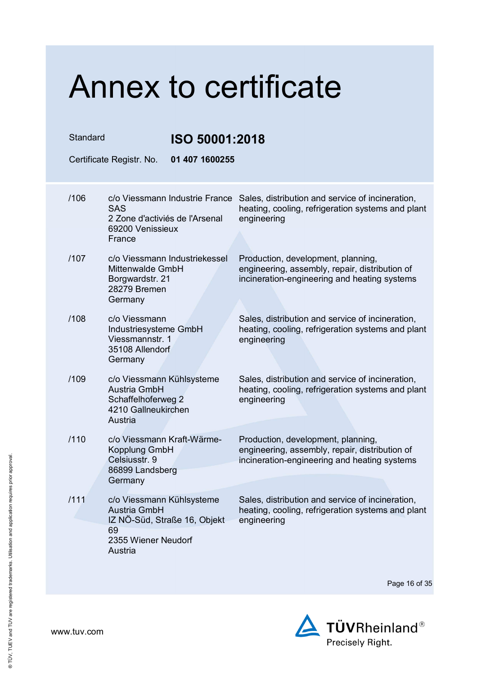| Standard                 |                                                                                                          | ISO 50001:2018                 |                                                                                                                                      |  |
|--------------------------|----------------------------------------------------------------------------------------------------------|--------------------------------|--------------------------------------------------------------------------------------------------------------------------------------|--|
| Certificate Registr. No. |                                                                                                          | 01 407 1600255                 |                                                                                                                                      |  |
| /106                     | <b>SAS</b><br>2 Zone d'activiés de l'Arsenal<br>69200 Venissieux<br>France                               | c/o Viessmann Industrie France | Sales, distribution and service of incineration,<br>heating, cooling, refrigeration systems and plant<br>engineering                 |  |
| /107                     | Mittenwalde GmbH<br>Borgwardstr. 21<br>28279 Bremen<br>Germany                                           | c/o Viessmann Industriekessel  | Production, development, planning,<br>engineering, assembly, repair, distribution of<br>incineration-engineering and heating systems |  |
| /108                     | c/o Viessmann<br>Industriesysteme GmbH<br>Viessmannstr. 1<br>35108 Allendorf<br>Germany                  |                                | Sales, distribution and service of incineration,<br>heating, cooling, refrigeration systems and plant<br>engineering                 |  |
| /109                     | c/o Viessmann Kühlsysteme<br><b>Austria GmbH</b><br>Schaffelhoferweg 2<br>4210 Gallneukirchen<br>Austria |                                | Sales, distribution and service of incineration,<br>heating, cooling, refrigeration systems and plant<br>engineering                 |  |
| /110                     | c/o Viessmann Kraft-Wärme-<br>Kopplung GmbH<br>Celsiusstr. 9<br>86899 Landsberg<br>Germany               |                                | Production, development, planning,<br>engineering, assembly, repair, distribution of<br>incineration-engineering and heating systems |  |
| /111                     | c/o Viessmann Kühlsysteme<br>Austria GmbH<br>69<br>2355 Wiener Neudorf<br>Austria                        | IZ NÖ-Süd, Straße 16, Objekt   | Sales, distribution and service of incineration,<br>heating, cooling, refrigeration systems and plant<br>engineering                 |  |

Page 16 of 35

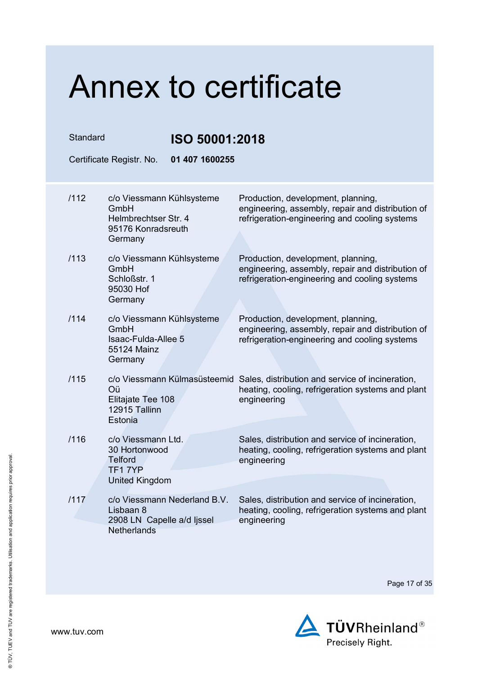| Standard |      |                                                                                               | ISO 50001:2018 |                                                                                                                                                   |  |
|----------|------|-----------------------------------------------------------------------------------------------|----------------|---------------------------------------------------------------------------------------------------------------------------------------------------|--|
|          |      | Certificate Registr. No.                                                                      | 01 407 1600255 |                                                                                                                                                   |  |
|          | /112 | c/o Viessmann Kühlsysteme<br>GmbH<br>Helmbrechtser Str. 4<br>95176 Konradsreuth<br>Germany    |                | Production, development, planning,<br>engineering, assembly, repair and distribution of<br>refrigeration-engineering and cooling systems          |  |
|          | /113 | c/o Viessmann Kühlsysteme<br>GmbH<br>Schloßstr. 1<br>95030 Hof<br>Germany                     |                | Production, development, planning,<br>engineering, assembly, repair and distribution of<br>refrigeration-engineering and cooling systems          |  |
|          | /114 | c/o Viessmann Kühlsysteme<br>GmbH<br>Isaac-Fulda-Allee 5<br>55124 Mainz<br>Germany            |                | Production, development, planning,<br>engineering, assembly, repair and distribution of<br>refrigeration-engineering and cooling systems          |  |
|          | /115 | Oü<br>Elitajate Tee 108<br>12915 Tallinn<br>Estonia                                           |                | c/o Viessmann Külmasüsteemid Sales, distribution and service of incineration,<br>heating, cooling, refrigeration systems and plant<br>engineering |  |
|          | /116 | c/o Viessmann Ltd.<br>30 Hortonwood<br><b>Telford</b><br>TF17YP<br><b>United Kingdom</b>      |                | Sales, distribution and service of incineration,<br>heating, cooling, refrigeration systems and plant<br>engineering                              |  |
|          | /117 | c/o Viessmann Nederland B.V.<br>Lisbaan 8<br>2908 LN Capelle a/d ljssel<br><b>Netherlands</b> |                | Sales, distribution and service of incineration,<br>heating, cooling, refrigeration systems and plant<br>engineering                              |  |

Page 17 of 35

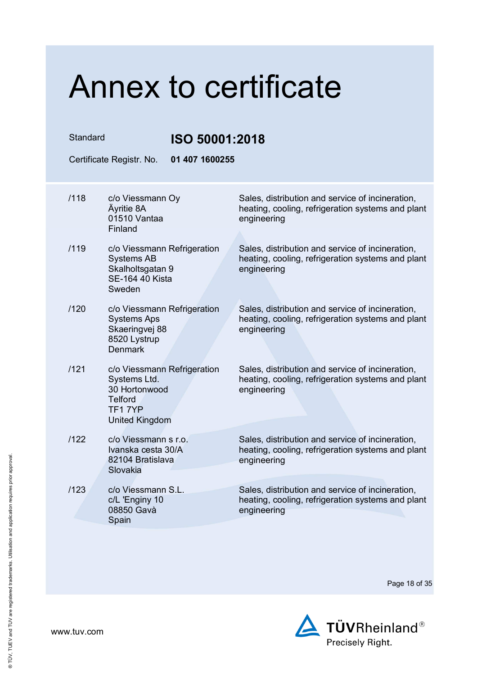Standard **ISO 50001:2018**

Certificate Registr. No. **01 407 1600255** 

| /118 | c/o Viessmann Oy<br>Äyritie 8A<br>01510 Vantaa<br>Finland                                                         | Sales, distribution and service of incineration,<br>heating, cooling, refrigeration systems and plant<br>engineering |
|------|-------------------------------------------------------------------------------------------------------------------|----------------------------------------------------------------------------------------------------------------------|
|      |                                                                                                                   |                                                                                                                      |
| /119 | c/o Viessmann Refrigeration<br><b>Systems AB</b><br>Skalholtsgatan 9<br><b>SE-164 40 Kista</b><br>Sweden          | Sales, distribution and service of incineration,<br>heating, cooling, refrigeration systems and plant<br>engineering |
| /120 | c/o Viessmann Refrigeration<br><b>Systems Aps</b><br>Skaeringvej 88<br>8520 Lystrup<br><b>Denmark</b>             | Sales, distribution and service of incineration,<br>heating, cooling, refrigeration systems and plant<br>engineering |
| /121 | c/o Viessmann Refrigeration<br>Systems Ltd.<br>30 Hortonwood<br><b>Telford</b><br>TF17YP<br><b>United Kingdom</b> | Sales, distribution and service of incineration,<br>heating, cooling, refrigeration systems and plant<br>engineering |
| /122 | c/o Viessmann s r.o.<br>Ivanska cesta 30/A<br>82104 Bratislava<br>Slovakia                                        | Sales, distribution and service of incineration,<br>heating, cooling, refrigeration systems and plant<br>engineering |
| /123 | c/o Viessmann S.L.<br>c/L 'Enginy 10<br>08850 Gavà<br>Spain                                                       | Sales, distribution and service of incineration,<br>heating, cooling, refrigeration systems and plant<br>engineering |

Page 18 of 35

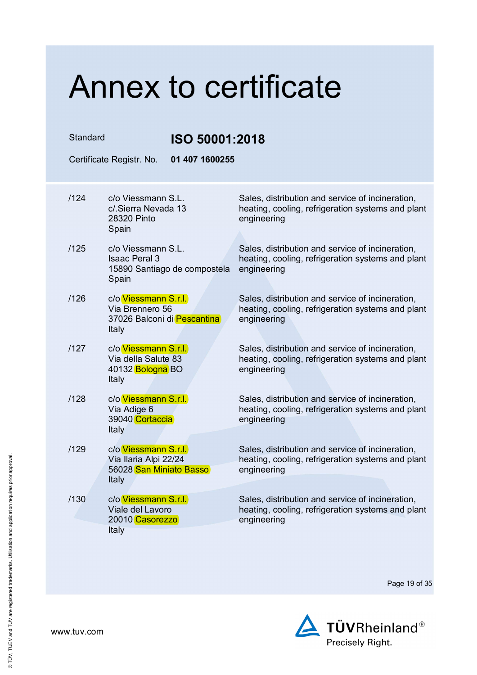| Standard |                                                                                          | ISO 50001:2018                                                                                                       |  |  |
|----------|------------------------------------------------------------------------------------------|----------------------------------------------------------------------------------------------------------------------|--|--|
|          | Certificate Registr. No.<br>01 407 1600255                                               |                                                                                                                      |  |  |
| /124     | c/o Viessmann S.L.<br>c/.Sierra Nevada 13<br>28320 Pinto<br>Spain                        | Sales, distribution and service of incineration,<br>heating, cooling, refrigeration systems and plant<br>engineering |  |  |
| /125     | c/o Viessmann S.L.<br><b>Isaac Peral 3</b><br>15890 Santiago de compostela<br>Spain      | Sales, distribution and service of incineration,<br>heating, cooling, refrigeration systems and plant<br>engineering |  |  |
| /126     | c/o Viessmann S.r.l.<br>Via Brennero 56<br>37026 Balconi di Pescantina<br><b>Italy</b>   | Sales, distribution and service of incineration,<br>heating, cooling, refrigeration systems and plant<br>engineering |  |  |
| /127     | c/o Viessmann S.r.l.<br>Via della Salute 83<br>40132 Bologna BO<br><b>Italy</b>          | Sales, distribution and service of incineration,<br>heating, cooling, refrigeration systems and plant<br>engineering |  |  |
| /128     | c/o Viessmann S.r.l.<br>Via Adige 6<br>39040 Cortaccia<br>Italy                          | Sales, distribution and service of incineration,<br>heating, cooling, refrigeration systems and plant<br>engineering |  |  |
| /129     | c/o Viessmann S.r.l.<br>Via Ilaria Alpi 22/24<br>56028 San Miniato Basso<br><b>Italy</b> | Sales, distribution and service of incineration,<br>heating, cooling, refrigeration systems and plant<br>engineering |  |  |
| /130     | c/o Viessmann S.r.l.<br>Viale del Lavoro<br>20010 Casorezzo<br>Italy                     | Sales, distribution and service of incineration,<br>heating, cooling, refrigeration systems and plant<br>engineering |  |  |

Page 19 of 35

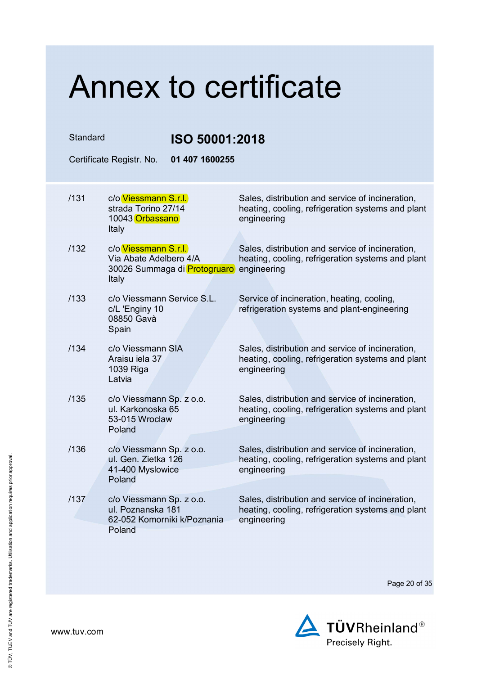| Standard |                                                                                         | ISO 50001:2018                                                                                                       |  |  |
|----------|-----------------------------------------------------------------------------------------|----------------------------------------------------------------------------------------------------------------------|--|--|
|          | Certificate Registr. No.                                                                | 01 407 1600255                                                                                                       |  |  |
| /131     | c/o Viessmann S.r.l.<br>strada Torino 27/14<br>10043 Orbassano<br>Italy                 | Sales, distribution and service of incineration,<br>heating, cooling, refrigeration systems and plant<br>engineering |  |  |
| /132     | c/o Viessmann S.r.l.<br>Via Abate Adelbero 4/A<br>30026 Summaga di Protogruaro<br>Italy | Sales, distribution and service of incineration,<br>heating, cooling, refrigeration systems and plant<br>engineering |  |  |
| /133     | c/o Viessmann Service S.L.<br>c/L 'Enginy 10<br>08850 Gavà<br>Spain                     | Service of incineration, heating, cooling,<br>refrigeration systems and plant-engineering                            |  |  |
| /134     | c/o Viessmann SIA<br>Araisu iela 37<br>1039 Riga<br>Latvia                              | Sales, distribution and service of incineration,<br>heating, cooling, refrigeration systems and plant<br>engineering |  |  |
| /135     | c/o Viessmann Sp. z o.o.<br>ul. Karkonoska 65<br>53-015 Wroclaw<br>Poland               | Sales, distribution and service of incineration,<br>heating, cooling, refrigeration systems and plant<br>engineering |  |  |
| /136     | c/o Viessmann Sp. z o.o.<br>ul. Gen. Zietka 126<br>41-400 Myslowice<br>Poland           | Sales, distribution and service of incineration,<br>heating, cooling, refrigeration systems and plant<br>engineering |  |  |
| /137     | c/o Viessmann Sp. z o.o.<br>ul. Poznanska 181<br>62-052 Komorniki k/Poznania<br>Poland  | Sales, distribution and service of incineration,<br>heating, cooling, refrigeration systems and plant<br>engineering |  |  |

Page 20 of 35

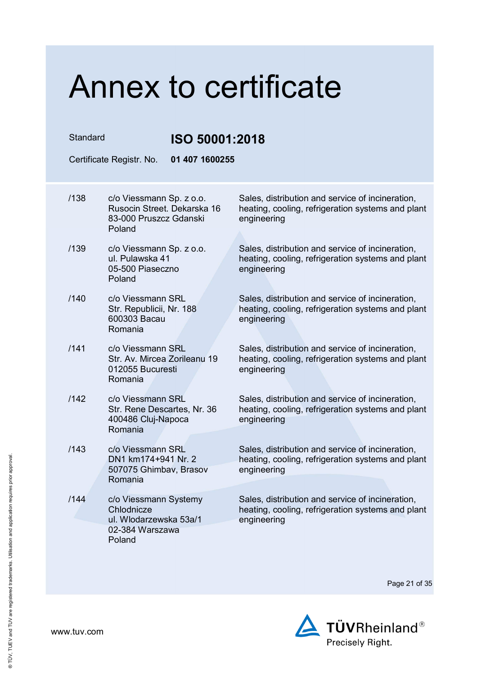Standard **ISO 50001:2018**

Certificate Registr. No. **01 407 1600255** 

| /138 | c/o Viessmann Sp. z o.o.<br>Rusocin Street, Dekarska 16<br>83-000 Pruszcz Gdanski<br>Poland | Sales, distribution and service of incineration,<br>heating, cooling, refrigeration systems and plant<br>engineering |
|------|---------------------------------------------------------------------------------------------|----------------------------------------------------------------------------------------------------------------------|
| /139 | c/o Viessmann Sp. z o.o.<br>ul. Pulawska 41<br>05-500 Piaseczno<br>Poland                   | Sales, distribution and service of incineration,<br>heating, cooling, refrigeration systems and plant<br>engineering |
| /140 | c/o Viessmann SRL<br>Str. Republicii, Nr. 188<br>600303 Bacau<br>Romania                    | Sales, distribution and service of incineration,<br>heating, cooling, refrigeration systems and plant<br>engineering |
| /141 | c/o Viessmann SRL<br>Str. Av. Mircea Zorileanu 19<br>012055 Bucuresti<br>Romania            | Sales, distribution and service of incineration,<br>heating, cooling, refrigeration systems and plant<br>engineering |
| /142 | c/o Viessmann SRL<br>Str. Rene Descartes, Nr. 36<br>400486 Cluj-Napoca<br>Romania           | Sales, distribution and service of incineration,<br>heating, cooling, refrigeration systems and plant<br>engineering |
| /143 | c/o Viessmann SRL<br>DN1 km174+941 Nr. 2<br>507075 Ghimbav, Brasov<br>Romania               | Sales, distribution and service of incineration,<br>heating, cooling, refrigeration systems and plant<br>engineering |
| /144 | c/o Viessmann Systemy<br>Chlodnicze<br>ul. Wlodarzewska 53a/1<br>02-384 Warszawa<br>Poland  | Sales, distribution and service of incineration,<br>heating, cooling, refrigeration systems and plant<br>engineering |

Page 21 of 35

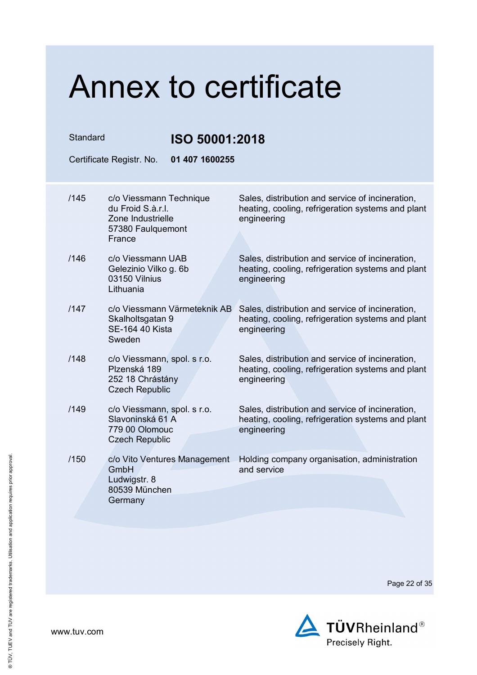| Standard                                                     |                                                 | ISO 50001:2018                                                                                                       |  |  |
|--------------------------------------------------------------|-------------------------------------------------|----------------------------------------------------------------------------------------------------------------------|--|--|
| Certificate Registr. No.                                     |                                                 | 01 407 1600255                                                                                                       |  |  |
| /145<br>du Froid S.à.r.l.<br>Zone Industrielle<br>France     | c/o Viessmann Technique<br>57380 Faulquemont    | Sales, distribution and service of incineration,<br>heating, cooling, refrigeration systems and plant<br>engineering |  |  |
| /146<br>03150 Vilnius<br>Lithuania                           | c/o Viessmann UAB<br>Gelezinio Vilko g. 6b      | Sales, distribution and service of incineration,<br>heating, cooling, refrigeration systems and plant<br>engineering |  |  |
| /147<br>Skalholtsgatan 9<br><b>SE-164 40 Kista</b><br>Sweden | c/o Viessmann Värmeteknik AB                    | Sales, distribution and service of incineration,<br>heating, cooling, refrigeration systems and plant<br>engineering |  |  |
| /148<br>Plzenská 189<br><b>Czech Republic</b>                | c/o Viessmann, spol. s r.o.<br>252 18 Chrástány | Sales, distribution and service of incineration,<br>heating, cooling, refrigeration systems and plant<br>engineering |  |  |
| /149<br>779 00 Olomouc<br><b>Czech Republic</b>              | c/o Viessmann, spol. s r.o.<br>Slavoninská 61 A | Sales, distribution and service of incineration,<br>heating, cooling, refrigeration systems and plant<br>engineering |  |  |
| /150<br>GmbH<br>Ludwigstr. 8<br>80539 München<br>Germany     | c/o Vito Ventures Management                    | Holding company organisation, administration<br>and service                                                          |  |  |

Page 22 of 35



www.tuv.com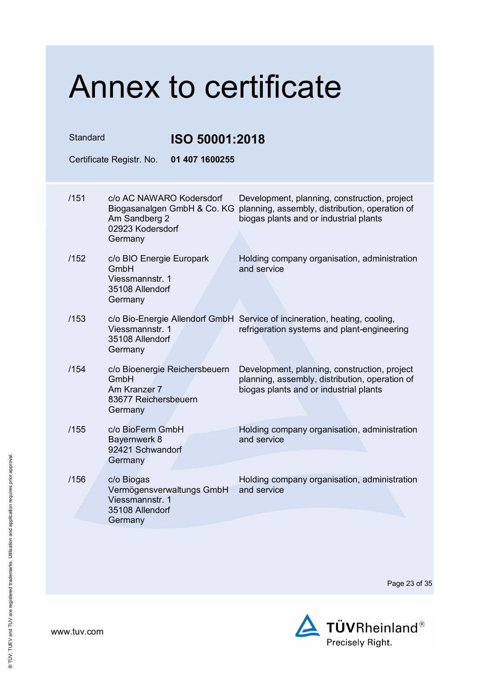| Standard |                                                                                   | ISO 50001:2018                                          |                                                                                                                                          |  |
|----------|-----------------------------------------------------------------------------------|---------------------------------------------------------|------------------------------------------------------------------------------------------------------------------------------------------|--|
|          | Certificate Registr. No.                                                          | 01 407 1600255                                          |                                                                                                                                          |  |
| /151     | Am Sandberg 2<br>02923 Kodersdorf<br>Germany                                      | c/o AC NAWARO Kodersdorf<br>Biogasanalgen GmbH & Co. KG | Development, planning, construction, project<br>planning, assembly, distribution, operation of<br>biogas plants and or industrial plants |  |
| /152     | c/o BIO Energie Europark<br>GmbH<br>Viessmannstr. 1<br>35108 Allendorf<br>Germany |                                                         | Holding company organisation, administration<br>and service                                                                              |  |
| /153     | Viessmannstr. 1<br>35108 Allendorf<br>Germany                                     |                                                         | c/o Bio-Energie Allendorf GmbH Service of incineration, heating, cooling,<br>refrigeration systems and plant-engineering                 |  |
| /154     | GmbH<br>Am Kranzer 7<br>83677 Reichersbeuern<br>Germany                           | c/o Bioenergie Reichersbeuern                           | Development, planning, construction, project<br>planning, assembly, distribution, operation of<br>biogas plants and or industrial plants |  |
| /155     | c/o BioFerm GmbH<br>Bayernwerk 8<br>92421 Schwandorf<br>Germany                   |                                                         | Holding company organisation, administration<br>and service                                                                              |  |
| /156     | c/o Biogas<br>Viessmannstr. 1<br>35108 Allendorf<br>Germany                       | Vermögensverwaltungs GmbH                               | Holding company organisation, administration<br>and service                                                                              |  |

Page 23 of 35

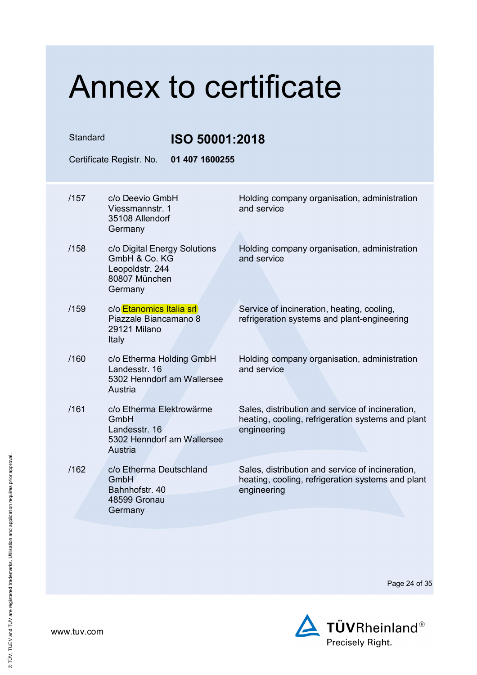| Standard<br>ISO 50001:2018 |                                                                                              |                                                                                                                      |
|----------------------------|----------------------------------------------------------------------------------------------|----------------------------------------------------------------------------------------------------------------------|
|                            | 01 407 1600255<br>Certificate Registr. No.                                                   |                                                                                                                      |
| /157                       | c/o Deevio GmbH<br>Viessmannstr. 1<br>35108 Allendorf<br>Germany                             | Holding company organisation, administration<br>and service                                                          |
| /158                       | c/o Digital Energy Solutions<br>GmbH & Co. KG<br>Leopoldstr. 244<br>80807 München<br>Germany | Holding company organisation, administration<br>and service                                                          |
| /159                       | c/o Etanomics Italia srl<br>Piazzale Biancamano 8<br>29121 Milano<br>Italy                   | Service of incineration, heating, cooling,<br>refrigeration systems and plant-engineering                            |
| /160                       | c/o Etherma Holding GmbH<br>Landesstr, 16<br>5302 Henndorf am Wallersee<br>Austria           | Holding company organisation, administration<br>and service                                                          |
| /161                       | c/o Etherma Elektrowärme<br>GmbH<br>Landesstr. 16<br>5302 Henndorf am Wallersee<br>Austria   | Sales, distribution and service of incineration,<br>heating, cooling, refrigeration systems and plant<br>engineering |
| /162                       | c/o Etherma Deutschland<br>GmbH<br>Bahnhofstr, 40<br>48599 Gronau<br>Germany                 | Sales, distribution and service of incineration,<br>heating, cooling, refrigeration systems and plant<br>engineering |
|                            |                                                                                              |                                                                                                                      |

Page 24 of 35

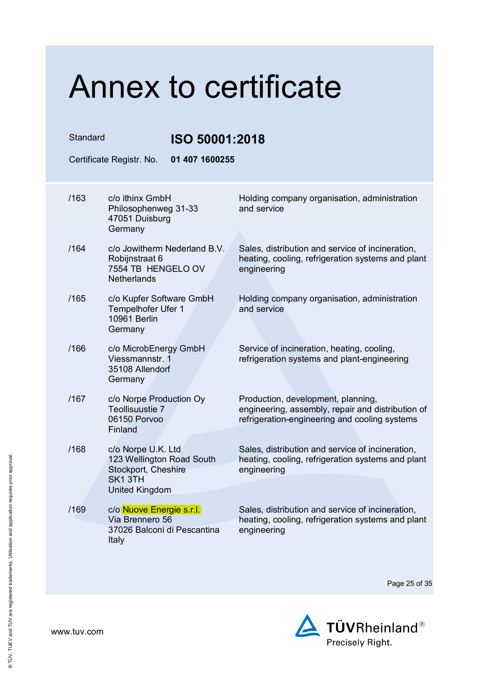Standard **ISO 50001:2018**

| 01 407 1600255<br>Certificate Registr. No. |                                                                                                              |                                                                                                                                          |  |
|--------------------------------------------|--------------------------------------------------------------------------------------------------------------|------------------------------------------------------------------------------------------------------------------------------------------|--|
| /163                                       | c/o ithinx GmbH<br>Philosophenweg 31-33<br>47051 Duisburg<br>Germany                                         | Holding company organisation, administration<br>and service                                                                              |  |
| /164                                       | c/o Jowitherm Nederland B.V.<br>Robijnstraat 6<br>7554 TB HENGELO OV<br><b>Netherlands</b>                   | Sales, distribution and service of incineration,<br>heating, cooling, refrigeration systems and plant<br>engineering                     |  |
| /165                                       | c/o Kupfer Software GmbH<br>Tempelhofer Ufer 1<br><b>10961 Berlin</b><br>Germany                             | Holding company organisation, administration<br>and service                                                                              |  |
| /166                                       | c/o MicrobEnergy GmbH<br>Viessmannstr. 1<br>35108 Allendorf<br>Germany                                       | Service of incineration, heating, cooling,<br>refrigeration systems and plant-engineering                                                |  |
| /167                                       | c/o Norpe Production Oy<br>Teollisuustie 7<br>06150 Porvoo<br>Finland                                        | Production, development, planning,<br>engineering, assembly, repair and distribution of<br>refrigeration-engineering and cooling systems |  |
| /168                                       | c/o Norpe U.K. Ltd<br>123 Wellington Road South<br>Stockport, Cheshire<br>SK <sub>1</sub> 3TH                | Sales, distribution and service of incineration,<br>heating, cooling, refrigeration systems and plant<br>engineering                     |  |
| /169                                       | <b>United Kingdom</b><br>c/o Nuove Energie s.r.l.<br>Via Brennero 56<br>37026 Balconi di Pescantina<br>Italy | Sales, distribution and service of incineration,<br>heating, cooling, refrigeration systems and plant<br>engineering                     |  |

Page 25 of 35

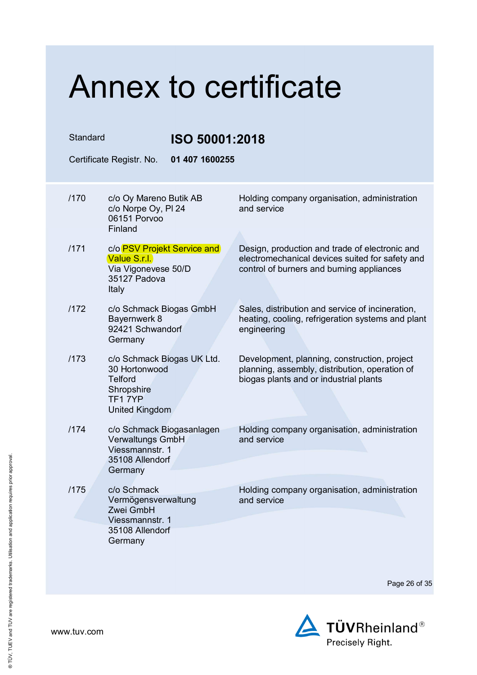| Standard |                                                                                                                | <b>ISO 50001:2018</b>                                                                                                                          |  |
|----------|----------------------------------------------------------------------------------------------------------------|------------------------------------------------------------------------------------------------------------------------------------------------|--|
|          | 01 407 1600255<br>Certificate Registr. No.                                                                     |                                                                                                                                                |  |
| /170     | c/o Oy Mareno Butik AB<br>c/o Norpe Oy, PI 24<br>06151 Porvoo<br>Finland                                       | Holding company organisation, administration<br>and service                                                                                    |  |
| /171     | c/o PSV Projekt Service and<br>Value S.r.l.<br>Via Vigonevese 50/D<br>35127 Padova<br>Italy                    | Design, production and trade of electronic and<br>electromechanical devices suited for safety and<br>control of burners and burning appliances |  |
| /172     | c/o Schmack Biogas GmbH<br>Bayernwerk 8<br>92421 Schwandorf<br>Germany                                         | Sales, distribution and service of incineration,<br>heating, cooling, refrigeration systems and plant<br>engineering                           |  |
| /173     | c/o Schmack Biogas UK Ltd.<br>30 Hortonwood<br><b>Telford</b><br>Shropshire<br>TF17YP<br><b>United Kingdom</b> | Development, planning, construction, project<br>planning, assembly, distribution, operation of<br>biogas plants and or industrial plants       |  |
| /174     | c/o Schmack Biogasanlagen<br>Verwaltungs GmbH<br>Viessmannstr. 1<br>35108 Allendorf<br>Germany                 | Holding company organisation, administration<br>and service                                                                                    |  |
| /175     | c/o Schmack<br>Vermögensverwaltung<br>Zwei GmbH<br>Viessmannstr. 1<br>35108 Allendorf<br>Germany               | Holding company organisation, administration<br>and service                                                                                    |  |

Page 26 of 35

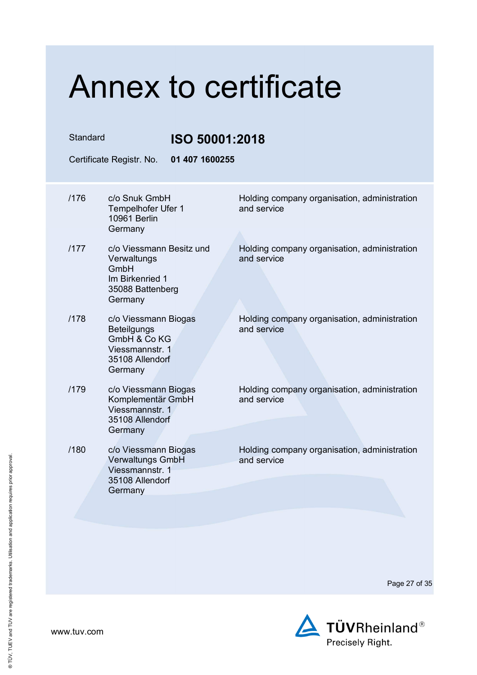#### Standard **ISO 50001:2018** Certificate Registr. No. **01 407 1600255**  /176 c/o Snuk GmbH Tempelhofer Ufer 1 10961 Berlin Germany Holding company organisation, administration and service /177 c/o Viessmann Besitz und **Verwaltungs** GmbH Im Birkenried 1 35088 Battenberg **Germany** Holding company organisation, administration and service /178 c/o Viessmann Biogas **Beteilgungs** GmbH & Co KG Viessmannstr. 1 35108 Allendorf **Germany** Holding company organisation, administration and service /179 c/o Viessmann Biogas Komplementär GmbH Viessmannstr. 1 35108 Allendorf **Germany** Holding company organisation, administration and service /180 c/o Viessmann Biogas Verwaltungs GmbH Viessmannstr. 1 35108 Allendorf **Germany** Holding company organisation, administration and service

Page 27 of 35

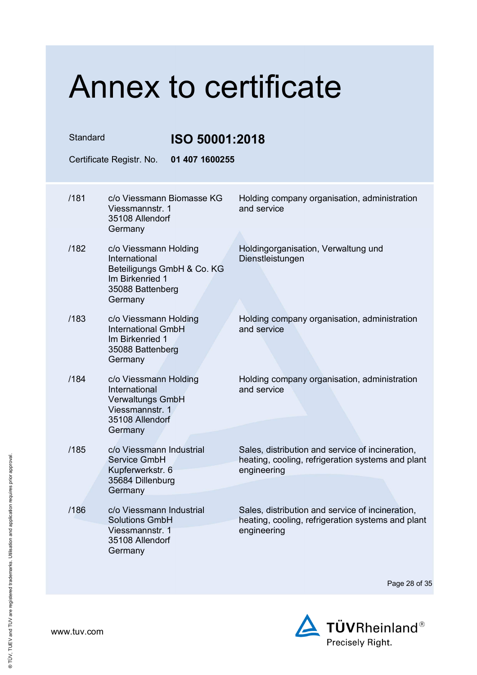| Standard<br>ISO 50001:2018 |                                                                                                                        |                                                                                                                      |
|----------------------------|------------------------------------------------------------------------------------------------------------------------|----------------------------------------------------------------------------------------------------------------------|
|                            | 01 407 1600255<br>Certificate Registr. No.                                                                             |                                                                                                                      |
| /181                       | c/o Viessmann Biomasse KG<br>Viessmannstr. 1<br>35108 Allendorf<br>Germany                                             | Holding company organisation, administration<br>and service                                                          |
| /182                       | c/o Viessmann Holding<br>International<br>Beteiligungs GmbH & Co. KG<br>Im Birkenried 1<br>35088 Battenberg<br>Germany | Holdingorganisation, Verwaltung und<br>Dienstleistungen                                                              |
| /183                       | c/o Viessmann Holding<br><b>International GmbH</b><br>Im Birkenried 1<br>35088 Battenberg<br>Germany                   | Holding company organisation, administration<br>and service                                                          |
| /184                       | c/o Viessmann Holding<br>International<br><b>Verwaltungs GmbH</b><br>Viessmannstr. 1<br>35108 Allendorf<br>Germany     | Holding company organisation, administration<br>and service                                                          |
| /185                       | c/o Viessmann Industrial<br>Service GmbH<br>Kupferwerkstr. 6<br>35684 Dillenburg<br>Germany                            | Sales, distribution and service of incineration,<br>heating, cooling, refrigeration systems and plant<br>engineering |
| /186                       | c/o Viessmann Industrial<br><b>Solutions GmbH</b><br>Viessmannstr. 1<br>35108 Allendorf<br>Germany                     | Sales, distribution and service of incineration,<br>heating, cooling, refrigeration systems and plant<br>engineering |

Page 28 of 35

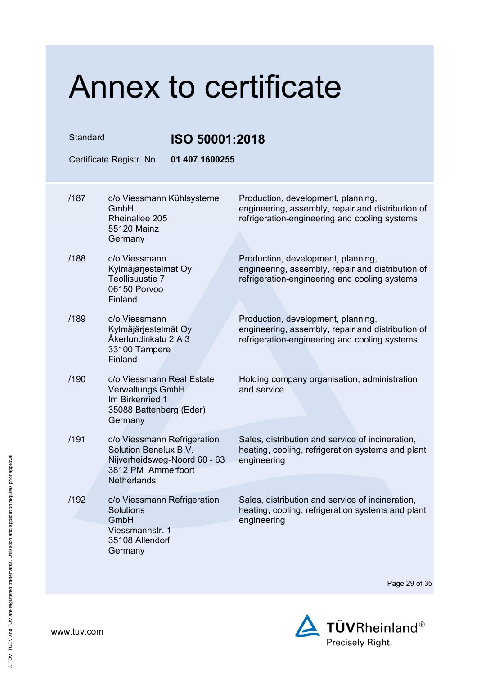Standard **ISO 50001:2018** 

| 01 407 1600255<br>Certificate Registr. No. |                                                                                                                                         |                                                                                                                                          |  |  |
|--------------------------------------------|-----------------------------------------------------------------------------------------------------------------------------------------|------------------------------------------------------------------------------------------------------------------------------------------|--|--|
| /187                                       | c/o Viessmann Kühlsysteme<br>GmbH<br>Rheinallee 205<br>55120 Mainz<br>Germany                                                           | Production, development, planning,<br>engineering, assembly, repair and distribution of<br>refrigeration-engineering and cooling systems |  |  |
| /188                                       | c/o Viessmann<br>Kylmäjärjestelmät Oy<br>Teollisuustie 7<br>06150 Porvoo<br>Finland                                                     | Production, development, planning,<br>engineering, assembly, repair and distribution of<br>refrigeration-engineering and cooling systems |  |  |
| /189                                       | c/o Viessmann<br>Kylmäjärjestelmät Oy<br>Åkerlundinkatu 2 A 3<br>33100 Tampere<br>Finland                                               | Production, development, planning,<br>engineering, assembly, repair and distribution of<br>refrigeration-engineering and cooling systems |  |  |
| /190                                       | c/o Viessmann Real Estate<br><b>Verwaltungs GmbH</b><br>Im Birkenried 1<br>35088 Battenberg (Eder)<br>Germany                           | Holding company organisation, administration<br>and service                                                                              |  |  |
| /191                                       | c/o Viessmann Refrigeration<br><b>Solution Benelux B.V.</b><br>Nijverheidsweg-Noord 60 - 63<br>3812 PM Ammerfoort<br><b>Netherlands</b> | Sales, distribution and service of incineration,<br>heating, cooling, refrigeration systems and plant<br>engineering                     |  |  |
| /192                                       | c/o Viessmann Refrigeration<br>Solutions<br>GmbH<br>Viessmannstr. 1<br>35108 Allendorf<br>Germany                                       | Sales, distribution and service of incineration.<br>heating, cooling, refrigeration systems and plant<br>engineering                     |  |  |

Page 29 of 35

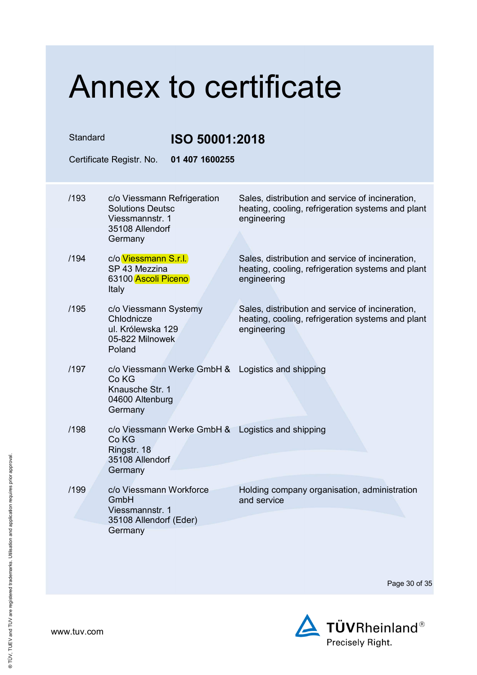| Standard |                                                                                                             | ISO 50001:2018                                                                                                       |  |  |
|----------|-------------------------------------------------------------------------------------------------------------|----------------------------------------------------------------------------------------------------------------------|--|--|
|          | Certificate Registr. No.<br>01 407 1600255                                                                  |                                                                                                                      |  |  |
| /193     | c/o Viessmann Refrigeration<br><b>Solutions Deutsc</b><br>Viessmannstr. 1<br>35108 Allendorf                | Sales, distribution and service of incineration,<br>heating, cooling, refrigeration systems and plant<br>engineering |  |  |
|          | Germany                                                                                                     |                                                                                                                      |  |  |
| /194     | c/o Viessmann S.r.l.<br>SP 43 Mezzina<br>63100 Ascoli Piceno<br>Italy                                       | Sales, distribution and service of incineration,<br>heating, cooling, refrigeration systems and plant<br>engineering |  |  |
| /195     | c/o Viessmann Systemy<br>Chlodnicze<br>ul. Królewska 129<br>05-822 Milnowek<br>Poland                       | Sales, distribution and service of incineration,<br>heating, cooling, refrigeration systems and plant<br>engineering |  |  |
| /197     | c/o Viessmann Werke GmbH & Logistics and shipping<br>Co KG<br>Knausche Str. 1<br>04600 Altenburg<br>Germany |                                                                                                                      |  |  |
| /198     | c/o Viessmann Werke GmbH & Logistics and shipping<br>Co KG<br>Ringstr. 18<br>35108 Allendorf<br>Germany     |                                                                                                                      |  |  |
| /199     | c/o Viessmann Workforce<br>GmbH<br>Viessmannstr. 1<br>35108 Allendorf (Eder)<br>Germany                     | Holding company organisation, administration<br>and service                                                          |  |  |

Page 30 of 35

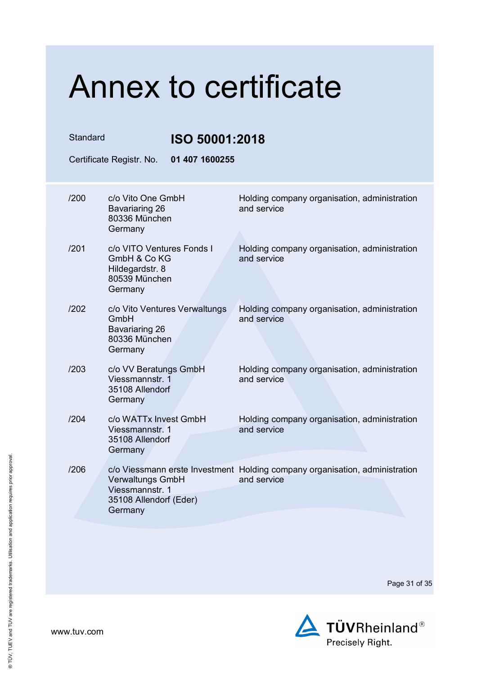| Standard |                                                                                          | ISO 50001:2018 |                                                                                            |  |
|----------|------------------------------------------------------------------------------------------|----------------|--------------------------------------------------------------------------------------------|--|
|          | Certificate Registr. No.                                                                 | 01 407 1600255 |                                                                                            |  |
| /200     | c/o Vito One GmbH<br>Bavariaring 26<br>80336 München<br>Germany                          |                | Holding company organisation, administration<br>and service                                |  |
| /201     | c/o VITO Ventures Fonds I<br>GmbH & Co KG<br>Hildegardstr. 8<br>80539 München<br>Germany |                | Holding company organisation, administration<br>and service                                |  |
| /202     | c/o Vito Ventures Verwaltungs<br>GmbH<br>Bavariaring 26<br>80336 München<br>Germany      |                | Holding company organisation, administration<br>and service                                |  |
| /203     | c/o VV Beratungs GmbH<br>Viessmannstr. 1<br>35108 Allendorf<br>Germany                   |                | Holding company organisation, administration<br>and service                                |  |
| /204     | c/o WATTx Invest GmbH<br>Viessmannstr. 1<br>35108 Allendorf<br>Germany                   |                | Holding company organisation, administration<br>and service                                |  |
| /206     | <b>Verwaltungs GmbH</b><br>Viessmannstr. 1<br>35108 Allendorf (Eder)<br>Germany          |                | c/o Viessmann erste Investment Holding company organisation, administration<br>and service |  |

Page 31 of 35

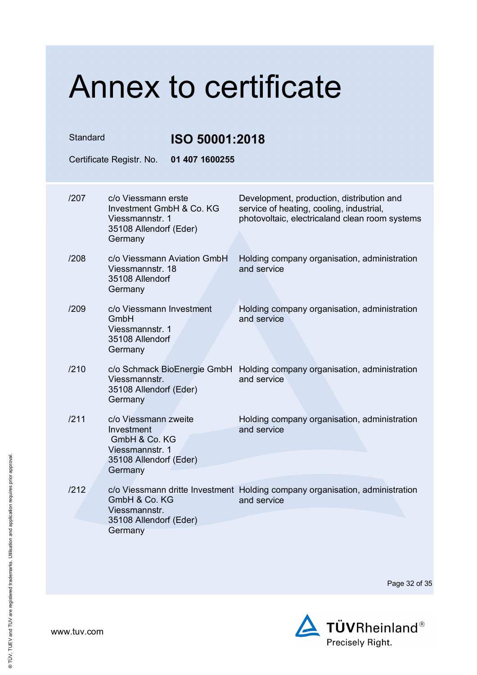| Standard | Certificate Registr. No.                                                                                    | <b>ISO 50001:2018</b><br>01 407 1600255                                                                                                 |  |
|----------|-------------------------------------------------------------------------------------------------------------|-----------------------------------------------------------------------------------------------------------------------------------------|--|
|          |                                                                                                             |                                                                                                                                         |  |
| /207     | c/o Viessmann erste<br>Investment GmbH & Co. KG<br>Viessmannstr. 1<br>35108 Allendorf (Eder)<br>Germany     | Development, production, distribution and<br>service of heating, cooling, industrial,<br>photovoltaic, electricaland clean room systems |  |
| /208     | c/o Viessmann Aviation GmbH<br>Viessmannstr. 18<br>35108 Allendorf<br>Germany                               | Holding company organisation, administration<br>and service                                                                             |  |
| /209     | c/o Viessmann Investment<br>GmbH<br>Viessmannstr. 1<br>35108 Allendorf<br>Germany                           | Holding company organisation, administration<br>and service                                                                             |  |
| /210     | c/o Schmack BioEnergie GmbH<br>Viessmannstr.<br>35108 Allendorf (Eder)<br>Germany                           | Holding company organisation, administration<br>and service                                                                             |  |
| /211     | c/o Viessmann zweite<br>Investment<br>GmbH & Co. KG<br>Viessmannstr. 1<br>35108 Allendorf (Eder)<br>Germany | Holding company organisation, administration<br>and service                                                                             |  |
| /212     | GmbH & Co. KG<br>Viessmannstr.<br>35108 Allendorf (Eder)<br>Germany                                         | c/o Viessmann dritte Investment Holding company organisation, administration<br>and service                                             |  |

Page 32 of 35

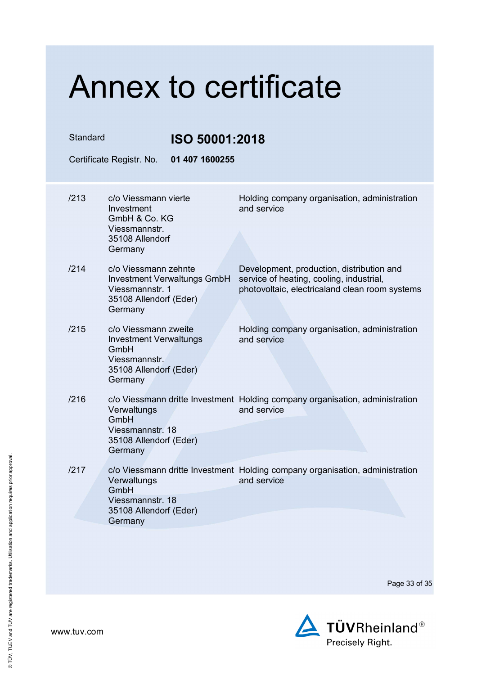| Standard<br>Certificate Registr. No. |                                                                                                                     | ISO 50001:2018<br>01 407 1600255   |                                                                                                                                         |
|--------------------------------------|---------------------------------------------------------------------------------------------------------------------|------------------------------------|-----------------------------------------------------------------------------------------------------------------------------------------|
| /213                                 | c/o Viessmann vierte<br>Investment<br>GmbH & Co. KG<br>Viessmannstr.                                                |                                    | Holding company organisation, administration<br>and service                                                                             |
|                                      | 35108 Allendorf<br>Germany                                                                                          |                                    |                                                                                                                                         |
| /214                                 | c/o Viessmann zehnte<br>Viessmannstr. 1<br>35108 Allendorf (Eder)<br>Germany                                        | <b>Investment Verwaltungs GmbH</b> | Development, production, distribution and<br>service of heating, cooling, industrial,<br>photovoltaic, electricaland clean room systems |
| /215                                 | c/o Viessmann zweite<br><b>Investment Verwaltungs</b><br>GmbH<br>Viessmannstr.<br>35108 Allendorf (Eder)<br>Germany |                                    | Holding company organisation, administration<br>and service                                                                             |
| /216                                 | Verwaltungs<br>GmbH<br>Viessmannstr. 18<br>35108 Allendorf (Eder)<br>Germany                                        |                                    | c/o Viessmann dritte Investment Holding company organisation, administration<br>and service                                             |
| /217                                 | Verwaltungs<br>GmbH<br>Viessmannstr. 18<br>35108 Allendorf (Eder)<br>Germany                                        |                                    | c/o Viessmann dritte Investment Holding company organisation, administration<br>and service                                             |
|                                      |                                                                                                                     |                                    |                                                                                                                                         |

Page 33 of 35



www.tuv.com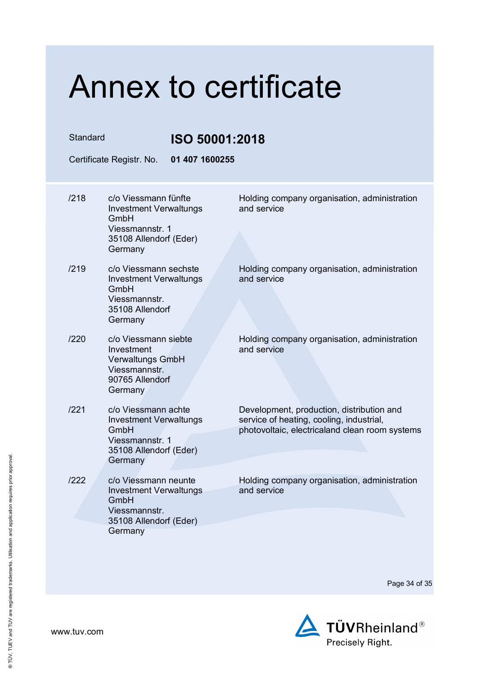| Standard<br>ISO 50001:2018 |                                                                                                                      |                                                                                                                                         |
|----------------------------|----------------------------------------------------------------------------------------------------------------------|-----------------------------------------------------------------------------------------------------------------------------------------|
|                            | 01 407 1600255<br>Certificate Registr. No.                                                                           |                                                                                                                                         |
| /218                       | c/o Viessmann fünfte<br><b>Investment Verwaltungs</b><br>GmbH                                                        | Holding company organisation, administration<br>and service                                                                             |
|                            | Viessmannstr. 1<br>35108 Allendorf (Eder)<br>Germany                                                                 |                                                                                                                                         |
| /219                       | c/o Viessmann sechste<br><b>Investment Verwaltungs</b><br>GmbH<br>Viessmannstr.<br>35108 Allendorf<br>Germany        | Holding company organisation, administration<br>and service                                                                             |
| /220                       | c/o Viessmann siebte<br>Investment<br><b>Verwaltungs GmbH</b><br>Viessmannstr.<br>90765 Allendorf<br>Germany         | Holding company organisation, administration<br>and service                                                                             |
| /221                       | c/o Viessmann achte<br><b>Investment Verwaltungs</b><br>GmbH<br>Viessmannstr. 1<br>35108 Allendorf (Eder)<br>Germany | Development, production, distribution and<br>service of heating, cooling, industrial,<br>photovoltaic, electricaland clean room systems |
| /222                       | c/o Viessmann neunte<br><b>Investment Verwaltungs</b><br>GmbH<br>Viessmannstr.<br>35108 Allendorf (Eder)<br>Germany  | Holding company organisation, administration<br>and service                                                                             |
|                            |                                                                                                                      |                                                                                                                                         |

Page 34 of 35